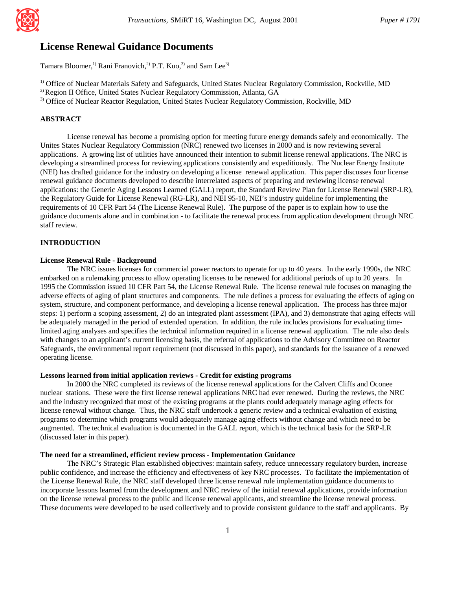

# **License Renewal Guidance Documents**

Tamara Bloomer,<sup>1)</sup> Rani Franovich,<sup>2)</sup> P.T. Kuo,<sup>3)</sup> and Sam Lee<sup>3)</sup>

1) Office of Nuclear Materials Safety and Safeguards, United States Nuclear Regulatory Commission, Rockville, MD

2) Region II Office, United States Nuclear Regulatory Commission, Atlanta, GA

3) Office of Nuclear Reactor Regulation, United States Nuclear Regulatory Commission, Rockville, MD

# **ABSTRACT**

License renewal has become a promising option for meeting future energy demands safely and economically. The Unites States Nuclear Regulatory Commission (NRC) renewed two licenses in 2000 and is now reviewing several applications. A growing list of utilities have announced their intention to submit license renewal applications. The NRC is developing a streamlined process for reviewing applications consistently and expeditiously. The Nuclear Energy Institute (NEI) has drafted guidance for the industry on developing a license renewal application. This paper discusses four license renewal guidance documents developed to describe interrelated aspects of preparing and reviewing license renewal applications: the Generic Aging Lessons Learned (GALL) report, the Standard Review Plan for License Renewal (SRP-LR), the Regulatory Guide for License Renewal (RG-LR), and NEI 95-10, NEI's industry guideline for implementing the requirements of 10 CFR Part 54 (The License Renewal Rule). The purpose of the paper is to explain how to use the guidance documents alone and in combination - to facilitate the renewal process from application development through NRC staff review.

## **INTRODUCTION**

## **License Renewal Rule - Background**

The NRC issues licenses for commercial power reactors to operate for up to 40 years. In the early 1990s, the NRC embarked on a rulemaking process to allow operating licenses to be renewed for additional periods of up to 20 years. In 1995 the Commission issued 10 CFR Part 54, the License Renewal Rule. The license renewal rule focuses on managing the adverse effects of aging of plant structures and components. The rule defines a process for evaluating the effects of aging on system, structure, and component performance, and developing a license renewal application. The process has three major steps: 1) perform a scoping assessment, 2) do an integrated plant assessment (IPA), and 3) demonstrate that aging effects will be adequately managed in the period of extended operation. In addition, the rule includes provisions for evaluating timelimited aging analyses and specifies the technical information required in a license renewal application. The rule also deals with changes to an applicant's current licensing basis, the referral of applications to the Advisory Committee on Reactor Safeguards, the environmental report requirement (not discussed in this paper), and standards for the issuance of a renewed operating license.

#### **Lessons learned from initial application reviews - Credit for existing programs**

In 2000 the NRC completed its reviews of the license renewal applications for the Calvert Cliffs and Oconee nuclear stations. These were the first license renewal applications NRC had ever renewed. During the reviews, the NRC and the industry recognized that most of the existing programs at the plants could adequately manage aging effects for license renewal without change. Thus, the NRC staff undertook a generic review and a technical evaluation of existing programs to determine which programs would adequately manage aging effects without change and which need to be augmented. The technical evaluation is documented in the GALL report, which is the technical basis for the SRP-LR (discussed later in this paper).

#### **The need for a streamlined, efficient review process - Implementation Guidance**

The NRC's Strategic Plan established objectives: maintain safety, reduce unnecessary regulatory burden, increase public confidence, and increase the efficiency and effectiveness of key NRC processes. To facilitate the implementation of the License Renewal Rule, the NRC staff developed three license renewal rule implementation guidance documents to incorporate lessons learned from the development and NRC review of the initial renewal applications, provide information on the license renewal process to the public and license renewal applicants, and streamline the license renewal process. These documents were developed to be used collectively and to provide consistent guidance to the staff and applicants. By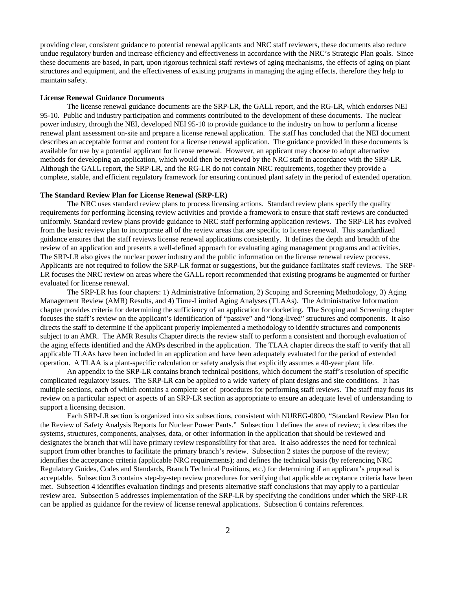providing clear, consistent guidance to potential renewal applicants and NRC staff reviewers, these documents also reduce undue regulatory burden and increase efficiency and effectiveness in accordance with the NRC's Strategic Plan goals. Since these documents are based, in part, upon rigorous technical staff reviews of aging mechanisms, the effects of aging on plant structures and equipment, and the effectiveness of existing programs in managing the aging effects, therefore they help to maintain safety.

#### **License Renewal Guidance Documents**

The license renewal guidance documents are the SRP-LR, the GALL report, and the RG-LR, which endorses NEI 95-10. Public and industry participation and comments contributed to the development of these documents. The nuclear power industry, through the NEI, developed NEI 95-10 to provide guidance to the industry on how to perform a license renewal plant assessment on-site and prepare a license renewal application. The staff has concluded that the NEI document describes an acceptable format and content for a license renewal application. The guidance provided in these documents is available for use by a potential applicant for license renewal. However, an applicant may choose to adopt alternative methods for developing an application, which would then be reviewed by the NRC staff in accordance with the SRP-LR. Although the GALL report, the SRP-LR, and the RG-LR do not contain NRC requirements, together they provide a complete, stable, and efficient regulatory framework for ensuring continued plant safety in the period of extended operation.

#### **The Standard Review Plan for License Renewal (SRP-LR)**

The NRC uses standard review plans to process licensing actions. Standard review plans specify the quality requirements for performing licensing review activities and provide a framework to ensure that staff reviews are conducted uniformly. Standard review plans provide guidance to NRC staff performing application reviews. The SRP-LR has evolved from the basic review plan to incorporate all of the review areas that are specific to license renewal. This standardized guidance ensures that the staff reviews license renewal applications consistently. It defines the depth and breadth of the review of an application and presents a well-defined approach for evaluating aging management programs and activities. The SRP-LR also gives the nuclear power industry and the public information on the license renewal review process. Applicants are not required to follow the SRP-LR format or suggestions, but the guidance facilitates staff reviews. The SRP-LR focuses the NRC review on areas where the GALL report recommended that existing programs be augmented or further evaluated for license renewal.

The SRP-LR has four chapters: 1) Administrative Information, 2) Scoping and Screening Methodology, 3) Aging Management Review (AMR) Results, and 4) Time-Limited Aging Analyses (TLAAs). The Administrative Information chapter provides criteria for determining the sufficiency of an application for docketing. The Scoping and Screening chapter focuses the staff's review on the applicant's identification of "passive" and "long-lived" structures and components. It also directs the staff to determine if the applicant properly implemented a methodology to identify structures and components subject to an AMR. The AMR Results Chapter directs the review staff to perform a consistent and thorough evaluation of the aging effects identified and the AMPs described in the application. The TLAA chapter directs the staff to verify that all applicable TLAAs have been included in an application and have been adequately evaluated for the period of extended operation. A TLAA is a plant-specific calculation or safety analysis that explicitly assumes a 40-year plant life.

An appendix to the SRP-LR contains branch technical positions, which document the staff's resolution of specific complicated regulatory issues. The SRP-LR can be applied to a wide variety of plant designs and site conditions. It has multiple sections, each of which contains a complete set of procedures for performing staff reviews. The staff may focus its review on a particular aspect or aspects of an SRP-LR section as appropriate to ensure an adequate level of understanding to support a licensing decision.

Each SRP-LR section is organized into six subsections, consistent with NUREG-0800, "Standard Review Plan for the Review of Safety Analysis Reports for Nuclear Power Pants." Subsection 1 defines the area of review; it describes the systems, structures, components, analyses, data, or other information in the application that should be reviewed and designates the branch that will have primary review responsibility for that area. It also addresses the need for technical support from other branches to facilitate the primary branch's review. Subsection 2 states the purpose of the review; identifies the acceptance criteria (applicable NRC requirements); and defines the technical basis (by referencing NRC Regulatory Guides, Codes and Standards, Branch Technical Positions, etc.) for determining if an applicant's proposal is acceptable. Subsection 3 contains step-by-step review procedures for verifying that applicable acceptance criteria have been met. Subsection 4 identifies evaluation findings and presents alternative staff conclusions that may apply to a particular review area. Subsection 5 addresses implementation of the SRP-LR by specifying the conditions under which the SRP-LR can be applied as guidance for the review of license renewal applications. Subsection 6 contains references.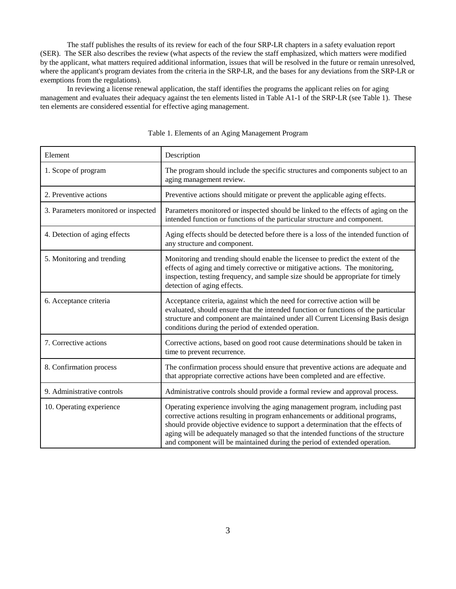The staff publishes the results of its review for each of the four SRP-LR chapters in a safety evaluation report (SER). The SER also describes the review (what aspects of the review the staff emphasized, which matters were modified by the applicant, what matters required additional information, issues that will be resolved in the future or remain unresolved, where the applicant's program deviates from the criteria in the SRP-LR, and the bases for any deviations from the SRP-LR or exemptions from the regulations).

In reviewing a license renewal application, the staff identifies the programs the applicant relies on for aging management and evaluates their adequacy against the ten elements listed in Table A1-1 of the SRP-LR (see Table 1). These ten elements are considered essential for effective aging management.

| Element                              | Description                                                                                                                                                                                                                                                                                                                                                                                                      |
|--------------------------------------|------------------------------------------------------------------------------------------------------------------------------------------------------------------------------------------------------------------------------------------------------------------------------------------------------------------------------------------------------------------------------------------------------------------|
| 1. Scope of program                  | The program should include the specific structures and components subject to an<br>aging management review.                                                                                                                                                                                                                                                                                                      |
| 2. Preventive actions                | Preventive actions should mitigate or prevent the applicable aging effects.                                                                                                                                                                                                                                                                                                                                      |
| 3. Parameters monitored or inspected | Parameters monitored or inspected should be linked to the effects of aging on the<br>intended function or functions of the particular structure and component.                                                                                                                                                                                                                                                   |
| 4. Detection of aging effects        | Aging effects should be detected before there is a loss of the intended function of<br>any structure and component.                                                                                                                                                                                                                                                                                              |
| 5. Monitoring and trending           | Monitoring and trending should enable the licensee to predict the extent of the<br>effects of aging and timely corrective or mitigative actions. The monitoring,<br>inspection, testing frequency, and sample size should be appropriate for timely<br>detection of aging effects.                                                                                                                               |
| 6. Acceptance criteria               | Acceptance criteria, against which the need for corrective action will be<br>evaluated, should ensure that the intended function or functions of the particular<br>structure and component are maintained under all Current Licensing Basis design<br>conditions during the period of extended operation.                                                                                                        |
| 7. Corrective actions                | Corrective actions, based on good root cause determinations should be taken in<br>time to prevent recurrence.                                                                                                                                                                                                                                                                                                    |
| 8. Confirmation process              | The confirmation process should ensure that preventive actions are adequate and<br>that appropriate corrective actions have been completed and are effective.                                                                                                                                                                                                                                                    |
| 9. Administrative controls           | Administrative controls should provide a formal review and approval process.                                                                                                                                                                                                                                                                                                                                     |
| 10. Operating experience             | Operating experience involving the aging management program, including past<br>corrective actions resulting in program enhancements or additional programs,<br>should provide objective evidence to support a determination that the effects of<br>aging will be adequately managed so that the intended functions of the structure<br>and component will be maintained during the period of extended operation. |

Table 1. Elements of an Aging Management Program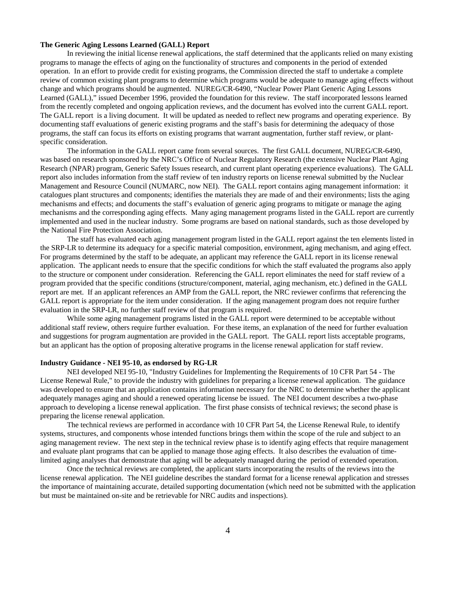## **The Generic Aging Lessons Learned (GALL) Report**

In reviewing the initial license renewal applications, the staff determined that the applicants relied on many existing programs to manage the effects of aging on the functionality of structures and components in the period of extended operation. In an effort to provide credit for existing programs, the Commission directed the staff to undertake a complete review of common existing plant programs to determine which programs would be adequate to manage aging effects without change and which programs should be augmented. NUREG/CR-6490, "Nuclear Power Plant Generic Aging Lessons Learned (GALL)," issued December 1996, provided the foundation for this review. The staff incorporated lessons learned from the recently completed and ongoing application reviews, and the document has evolved into the current GALL report. The GALL report is a living document. It will be updated as needed to reflect new programs and operating experience. By documenting staff evaluations of generic existing programs and the staff's basis for determining the adequacy of those programs, the staff can focus its efforts on existing programs that warrant augmentation, further staff review, or plantspecific consideration.

The information in the GALL report came from several sources. The first GALL document, NUREG/CR-6490, was based on research sponsored by the NRC's Office of Nuclear Regulatory Research (the extensive Nuclear Plant Aging Research (NPAR) program, Generic Safety Issues research, and current plant operating experience evaluations). The GALL report also includes information from the staff review of ten industry reports on license renewal submitted by the Nuclear Management and Resource Council (NUMARC, now NEI). The GALL report contains aging management information: it catalogues plant structures and components; identifies the materials they are made of and their environments; lists the aging mechanisms and effects; and documents the staff's evaluation of generic aging programs to mitigate or manage the aging mechanisms and the corresponding aging effects. Many aging management programs listed in the GALL report are currently implemented and used in the nuclear industry. Some programs are based on national standards, such as those developed by the National Fire Protection Association.

The staff has evaluated each aging management program listed in the GALL report against the ten elements listed in the SRP-LR to determine its adequacy for a specific material composition, environment, aging mechanism, and aging effect. For programs determined by the staff to be adequate, an applicant may reference the GALL report in its license renewal application. The applicant needs to ensure that the specific conditions for which the staff evaluated the programs also apply to the structure or component under consideration. Referencing the GALL report eliminates the need for staff review of a program provided that the specific conditions (structure/component, material, aging mechanism, etc.) defined in the GALL report are met. If an applicant references an AMP from the GALL report, the NRC reviewer confirms that referencing the GALL report is appropriate for the item under consideration. If the aging management program does not require further evaluation in the SRP-LR, no further staff review of that program is required.

While some aging management programs listed in the GALL report were determined to be acceptable without additional staff review, others require further evaluation. For these items, an explanation of the need for further evaluation and suggestions for program augmentation are provided in the GALL report. The GALL report lists acceptable programs, but an applicant has the option of proposing alterative programs in the license renewal application for staff review.

#### **Industry Guidance - NEI 95-10, as endorsed by RG-LR**

NEI developed NEI 95-10, "Industry Guidelines for Implementing the Requirements of 10 CFR Part 54 - The License Renewal Rule," to provide the industry with guidelines for preparing a license renewal application. The guidance was developed to ensure that an application contains information necessary for the NRC to determine whether the applicant adequately manages aging and should a renewed operating license be issued. The NEI document describes a two-phase approach to developing a license renewal application. The first phase consists of technical reviews; the second phase is preparing the license renewal application.

The technical reviews are performed in accordance with 10 CFR Part 54, the License Renewal Rule, to identify systems, structures, and components whose intended functions brings them within the scope of the rule and subject to an aging management review. The next step in the technical review phase is to identify aging effects that require management and evaluate plant programs that can be applied to manage those aging effects. It also describes the evaluation of timelimited aging analyses that demonstrate that aging will be adequately managed during the period of extended operation.

Once the technical reviews are completed, the applicant starts incorporating the results of the reviews into the license renewal application. The NEI guideline describes the standard format for a license renewal application and stresses the importance of maintaining accurate, detailed supporting documentation (which need not be submitted with the application but must be maintained on-site and be retrievable for NRC audits and inspections).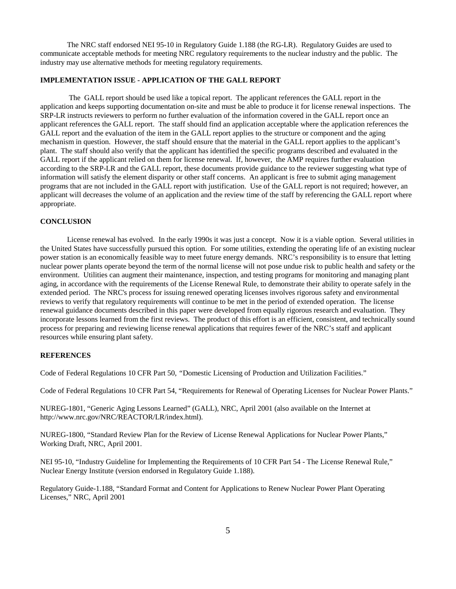The NRC staff endorsed NEI 95-10 in Regulatory Guide 1.188 (the RG-LR). Regulatory Guides are used to communicate acceptable methods for meeting NRC regulatory requirements to the nuclear industry and the public. The industry may use alternative methods for meeting regulatory requirements.

## **IMPLEMENTATION ISSUE - APPLICATION OF THE GALL REPORT**

 The GALL report should be used like a topical report. The applicant references the GALL report in the application and keeps supporting documentation on-site and must be able to produce it for license renewal inspections. The SRP-LR instructs reviewers to perform no further evaluation of the information covered in the GALL report once an applicant references the GALL report. The staff should find an application acceptable where the application references the GALL report and the evaluation of the item in the GALL report applies to the structure or component and the aging mechanism in question. However, the staff should ensure that the material in the GALL report applies to the applicant's plant. The staff should also verify that the applicant has identified the specific programs described and evaluated in the GALL report if the applicant relied on them for license renewal. If, however, the AMP requires further evaluation according to the SRP-LR and the GALL report, these documents provide guidance to the reviewer suggesting what type of information will satisfy the element disparity or other staff concerns. An applicant is free to submit aging management programs that are not included in the GALL report with justification. Use of the GALL report is not required; however, an applicant will decreases the volume of an application and the review time of the staff by referencing the GALL report where appropriate.

## **CONCLUSION**

License renewal has evolved. In the early 1990s it was just a concept. Now it is a viable option. Several utilities in the United States have successfully pursued this option. For some utilities, extending the operating life of an existing nuclear power station is an economically feasible way to meet future energy demands. NRC's responsibility is to ensure that letting nuclear power plants operate beyond the term of the normal license will not pose undue risk to public health and safety or the environment. Utilities can augment their maintenance, inspection, and testing programs for monitoring and managing plant aging, in accordance with the requirements of the License Renewal Rule, to demonstrate their ability to operate safely in the extended period. The NRC's process for issuing renewed operating licenses involves rigorous safety and environmental reviews to verify that regulatory requirements will continue to be met in the period of extended operation. The license renewal guidance documents described in this paper were developed from equally rigorous research and evaluation. They incorporate lessons learned from the first reviews. The product of this effort is an efficient, consistent, and technically sound process for preparing and reviewing license renewal applications that requires fewer of the NRC's staff and applicant resources while ensuring plant safety.

## **REFERENCES**

Code of Federal Regulations 10 CFR Part 50, *"*Domestic Licensing of Production and Utilization Facilities."

Code of Federal Regulations 10 CFR Part 54, "Requirements for Renewal of Operating Licenses for Nuclear Power Plants."

NUREG-1801, "Generic Aging Lessons Learned" (GALL), NRC, April 2001 (also available on the Internet at http://www.nrc.gov/NRC/REACTOR/LR/index.html).

NUREG-1800, "Standard Review Plan for the Review of License Renewal Applications for Nuclear Power Plants," Working Draft, NRC, April 2001.

NEI 95-10, "Industry Guideline for Implementing the Requirements of 10 CFR Part 54 - The License Renewal Rule," Nuclear Energy Institute (version endorsed in Regulatory Guide 1.188).

Regulatory Guide-1.188, "Standard Format and Content for Applications to Renew Nuclear Power Plant Operating Licenses," NRC, April 2001